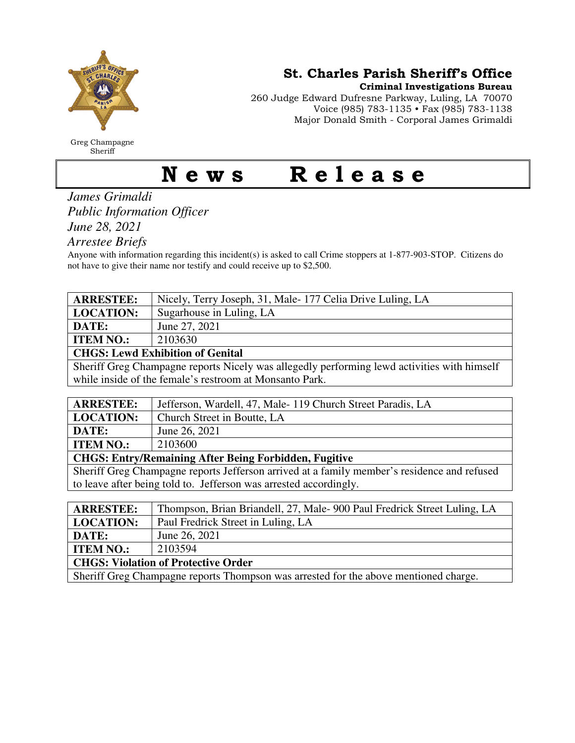

Greg Champagne Sheriff

St. Charles Parish Sheriff's Office

Criminal Investigations Bureau

260 Judge Edward Dufresne Parkway, Luling, LA 70070 Voice (985) 783-1135 • Fax (985) 783-1138 Major Donald Smith - Corporal James Grimaldi

## News Release

*James Grimaldi Public Information Officer June 28, 2021* 

*Arrestee Briefs* 

Anyone with information regarding this incident(s) is asked to call Crime stoppers at 1-877-903-STOP. Citizens do not have to give their name nor testify and could receive up to \$2,500.

| <b>ARRESTEE:</b>                                                                            | Nicely, Terry Joseph, 31, Male-177 Celia Drive Luling, LA               |  |
|---------------------------------------------------------------------------------------------|-------------------------------------------------------------------------|--|
| <b>LOCATION:</b>                                                                            | Sugarhouse in Luling, LA                                                |  |
| DATE:                                                                                       | June 27, 2021                                                           |  |
| <b>ITEM NO.:</b>                                                                            | 2103630                                                                 |  |
| <b>CHGS: Lewd Exhibition of Genital</b>                                                     |                                                                         |  |
| Sheriff Greg Champagne reports Nicely was allegedly performing lewd activities with himself |                                                                         |  |
| while inside of the female's restroom at Monsanto Park.                                     |                                                                         |  |
|                                                                                             |                                                                         |  |
| <b>ARRESTEE:</b>                                                                            | Jefferson, Wardell, 47, Male-119 Church Street Paradis, LA              |  |
| <b>LOCATION:</b>                                                                            | Church Street in Boutte, LA                                             |  |
| DATE:                                                                                       | June 26, 2021                                                           |  |
| <b>ITEM NO.:</b>                                                                            | 2103600                                                                 |  |
| <b>CHGS: Entry/Remaining After Being Forbidden, Fugitive</b>                                |                                                                         |  |
| Sheriff Greg Champagne reports Jefferson arrived at a family member's residence and refused |                                                                         |  |
| to leave after being told to. Jefferson was arrested accordingly.                           |                                                                         |  |
|                                                                                             |                                                                         |  |
| <b>ARRESTEE:</b>                                                                            | Thompson, Brian Briandell, 27, Male-900 Paul Fredrick Street Luling, LA |  |
| <b>LOCATION:</b>                                                                            | Paul Fredrick Street in Luling, LA                                      |  |
| DATE:                                                                                       | June 26, 2021                                                           |  |
| <b>ITEM NO.:</b>                                                                            | 2103594                                                                 |  |
| <b>CHGS: Violation of Protective Order</b>                                                  |                                                                         |  |

Sheriff Greg Champagne reports Thompson was arrested for the above mentioned charge.